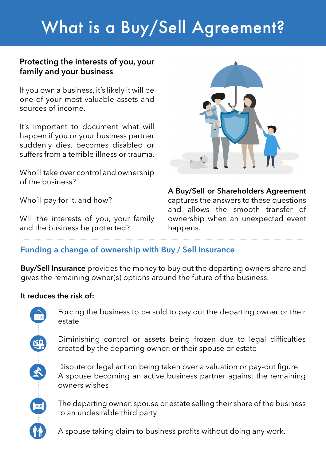# What is a Buy/Sell Agreement?

## **Protecting the interests of you, your family and your business**

If you own a business, it's likely it will be one of your most valuable assets and sources of income.

It's important to document what will happen if you or your business partner suddenly dies, becomes disabled or suffers from a terrible illness or trauma.

Who'll take over control and ownership of the business?

Who'll pay for it, and how?

Will the interests of you, your family and the business be protected?



**A Buy/Sell or Shareholders Agreement**  captures the answers to these questions and allows the smooth transfer of ownership when an unexpected event happens.

# **Funding a change of ownership with Buy / Sell Insurance**

**Buy/Sell Insurance** provides the money to buy out the departing owners share and gives the remaining owner(s) options around the future of the business.

## **It reduces the risk of:**

Forcing the business to be sold to pay out the departing owner or their estate

Diminishing control or assets being frozen due to legal difficulties created by the departing owner, or their spouse or estate

Dispute or legal action being taken over a valuation or pay-out figure A spouse becoming an active business partner against the remaining owners wishes

The departing owner, spouse or estate selling their share of the business to an undesirable third party

A spouse taking claim to business profits without doing any work.